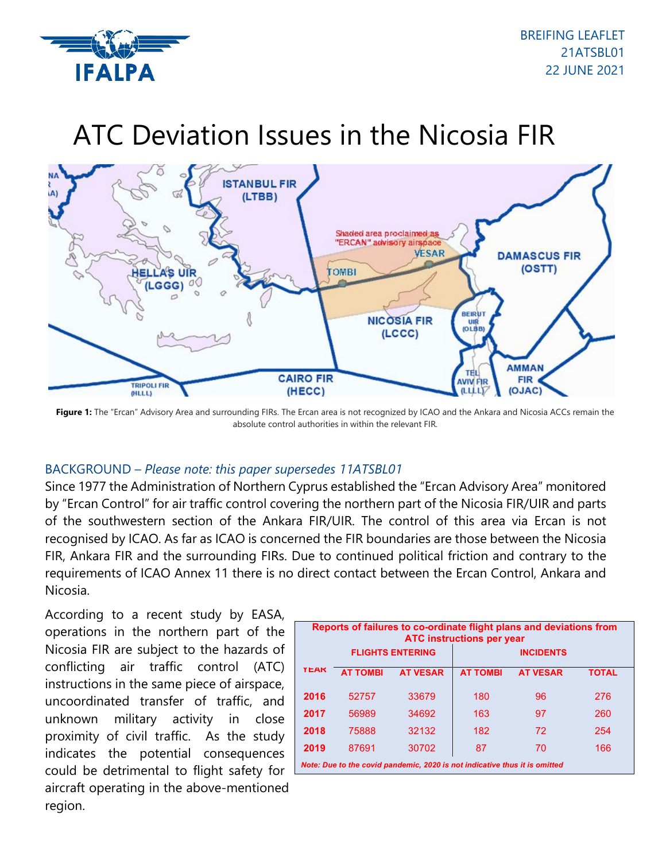

# ATC Deviation Issues in the Nicosia FIR



Figure 1: The "Ercan" Advisory Area and surrounding FIRs. The Ercan area is not recognized by ICAO and the Ankara and Nicosia ACCs remain the absolute control authorities in within the relevant FIR.

## BACKGROUND – *Please note: this paper supersedes 11ATSBL01*

Since 1977 the Administration of Northern Cyprus established the "Ercan Advisory Area" monitored by "Ercan Control" for air traffic control covering the northern part of the Nicosia FIR/UIR and parts of the southwestern section of the Ankara FIR/UIR. The control of this area via Ercan is not recognised by ICAO. As far as ICAO is concerned the FIR boundaries are those between the Nicosia FIR, Ankara FIR and the surrounding FIRs. Due to continued political friction and contrary to the requirements of ICAO Annex 11 there is no direct contact between the Ercan Control, Ankara and Nicosia.

According to a recent study by EASA, operations in the northern part of the Nicosia FIR are subject to the hazards of conflicting air traffic control (ATC) instructions in the same piece of airspace, uncoordinated transfer of traffic, and unknown military activity in close proximity of civil traffic. As the study indicates the potential consequences could be detrimental to flight safety for aircraft operating in the above-mentioned region.

| Reports of failures to co-ordinate flight plans and deviations from<br><b>ATC instructions per year</b> |                         |                 |                  |                 |              |
|---------------------------------------------------------------------------------------------------------|-------------------------|-----------------|------------------|-----------------|--------------|
|                                                                                                         | <b>FLIGHTS ENTERING</b> |                 | <b>INCIDENTS</b> |                 |              |
| <b>YEAK</b>                                                                                             | <b>AT TOMBI</b>         | <b>AT VESAR</b> | <b>AT TOMBI</b>  | <b>AT VESAR</b> | <b>TOTAL</b> |
| 2016                                                                                                    | 52757                   | 33679           | 180              | 96              | 276          |
| 2017                                                                                                    | 56989                   | 34692           | 163              | 97              | 260          |
| 2018                                                                                                    | 75888                   | 32132           | 182              | 72              | 254          |
| 2019                                                                                                    | 87691                   | 30702           | 87               | 70              | 166          |
| Note: Due to the covid pandemic, 2020 is not indicative thus it is omitted                              |                         |                 |                  |                 |              |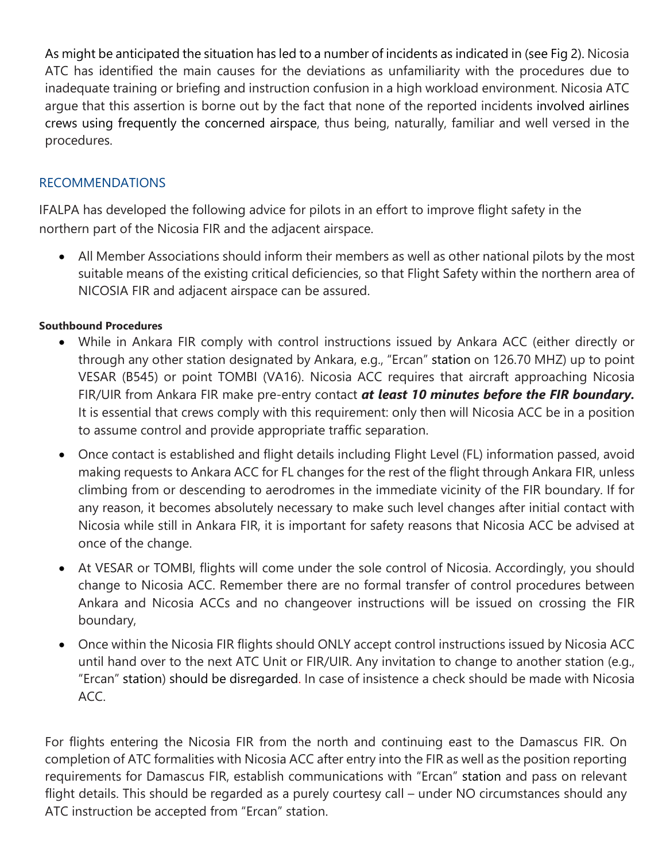As might be anticipated the situation has led to a number of incidents as indicated in (see Fig 2). Nicosia ATC has identified the main causes for the deviations as unfamiliarity with the procedures due to inadequate training or briefing and instruction confusion in a high workload environment. Nicosia ATC argue that this assertion is borne out by the fact that none of the reported incidents involved airlines crews using frequently the concerned airspace, thus being, naturally, familiar and well versed in the procedures.

## RECOMMENDATIONS

IFALPA has developed the following advice for pilots in an effort to improve flight safety in the northern part of the Nicosia FIR and the adjacent airspace.

• All Member Associations should inform their members as well as other national pilots by the most suitable means of the existing critical deficiencies, so that Flight Safety within the northern area of NICOSIA FIR and adjacent airspace can be assured.

## **Southbound Procedures**

- While in Ankara FIR comply with control instructions issued by Ankara ACC (either directly or through any other station designated by Ankara, e.g., "Ercan" station on 126.70 MHZ) up to point VESAR (B545) or point TOMBI (VA16). Nicosia ACC requires that aircraft approaching Nicosia FIR/UIR from Ankara FIR make pre-entry contact *at least 10 minutes before the FIR boundary.*  It is essential that crews comply with this requirement: only then will Nicosia ACC be in a position to assume control and provide appropriate traffic separation.
- Once contact is established and flight details including Flight Level (FL) information passed, avoid making requests to Ankara ACC for FL changes for the rest of the flight through Ankara FIR, unless climbing from or descending to aerodromes in the immediate vicinity of the FIR boundary. If for any reason, it becomes absolutely necessary to make such level changes after initial contact with Nicosia while still in Ankara FIR, it is important for safety reasons that Nicosia ACC be advised at once of the change.
- At VESAR or TOMBI, flights will come under the sole control of Nicosia. Accordingly, you should change to Nicosia ACC. Remember there are no formal transfer of control procedures between Ankara and Nicosia ACCs and no changeover instructions will be issued on crossing the FIR boundary,
- Once within the Nicosia FIR flights should ONLY accept control instructions issued by Nicosia ACC until hand over to the next ATC Unit or FIR/UIR. Any invitation to change to another station (e.g., "Ercan" station) should be disregarded. In case of insistence a check should be made with Nicosia ACC.

For flights entering the Nicosia FIR from the north and continuing east to the Damascus FIR. On completion of ATC formalities with Nicosia ACC after entry into the FIR as well as the position reporting requirements for Damascus FIR, establish communications with "Ercan" station and pass on relevant flight details. This should be regarded as a purely courtesy call – under NO circumstances should any ATC instruction be accepted from "Ercan" station.